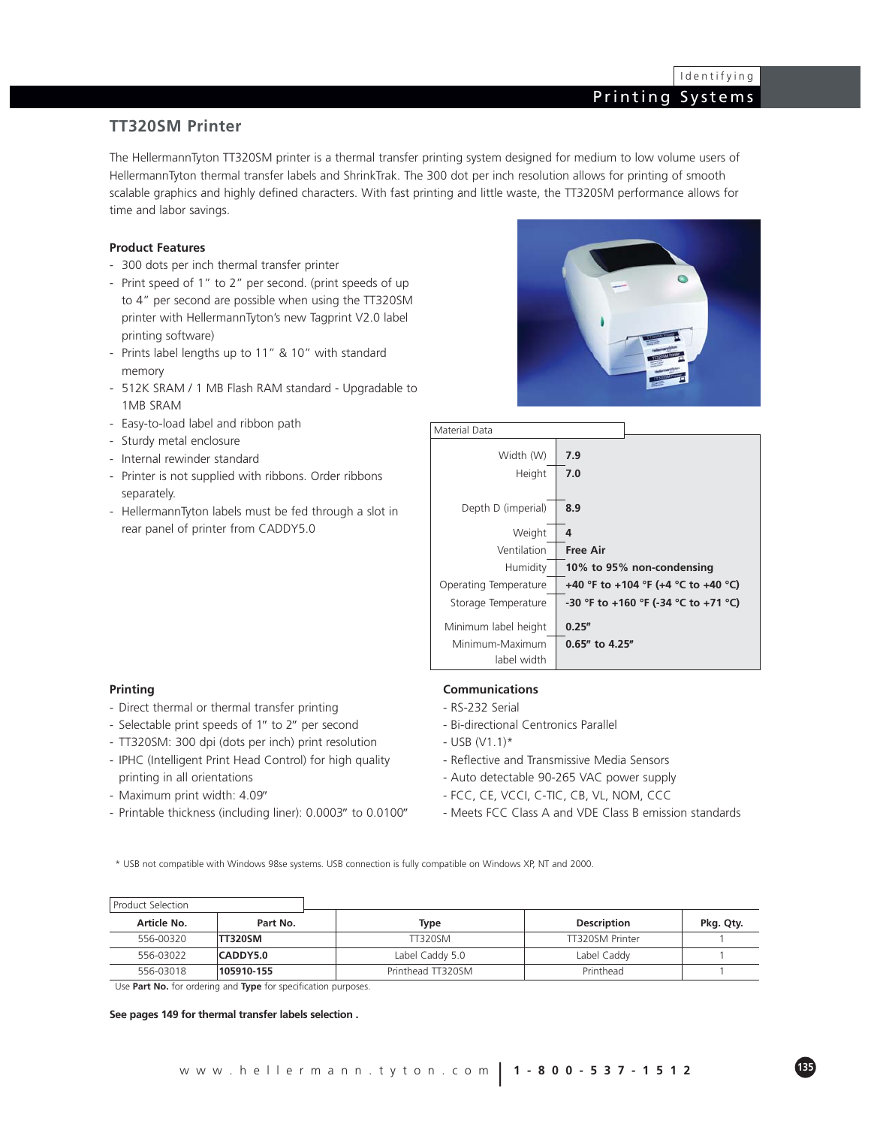### **TT320SM Printer**

The HellermannTyton TT320SM printer is a thermal transfer printing system designed for medium to low volume users of HellermannTyton thermal transfer labels and ShrinkTrak. The 300 dot per inch resolution allows for printing of smooth scalable graphics and highly defined characters. With fast printing and little waste, the TT320SM performance allows for time and labor savings.

### **Product Features**

- 300 dots per inch thermal transfer printer
- Print speed of 1" to 2" per second. (print speeds of up to 4" per second are possible when using the TT320SM printer with HellermannTyton's new Tagprint V2.0 label printing software)
- Prints label lengths up to 11" & 10" with standard memory
- 512K SRAM / 1 MB Flash RAM standard Upgradable to 1MB SRAM
- Easy-to-load label and ribbon path
- Sturdy metal enclosure
- Internal rewinder standard
- Printer is not supplied with ribbons. Order ribbons separately.
- HellermannTyton labels must be fed through a slot in rear panel of printer from CADDY5.0





### **Printing**

- Direct thermal or thermal transfer printing
- Selectable print speeds of 1″ to 2″ per second
- TT320SM: 300 dpi (dots per inch) print resolution
- IPHC (Intelligent Print Head Control) for high quality printing in all orientations
- Maximum print width: 4.09″
- Printable thickness (including liner): 0.0003″ to 0.0100″

### **Communications**

- RS-232 Serial
- Bi-directional Centronics Parallel
- $-$  USB (V1.1)\*
- Reflective and Transmissive Media Sensors
- Auto detectable 90-265 VAC power supply
- FCC, CE, VCCI, C-TIC, CB, VL, NOM, CCC
- Meets FCC Class A and VDE Class B emission standards

\* USB not compatible with Windows 98se systems. USB connection is fully compatible on Windows XP, NT and 2000.

| Product Selection |                |                   |                    |           |
|-------------------|----------------|-------------------|--------------------|-----------|
| Article No.       | Part No.       | <b>Type</b>       | <b>Description</b> | Pkg. Qty. |
| 556-00320         | <b>TT320SM</b> | <b>TT320SM</b>    | TT320SM Printer    |           |
| 556-03022         | CADDY5.0       | Label Caddy 5.0   | Label Caddy        |           |
| 556-03018         | 105910-155     | Printhead TT320SM | Printhead          |           |

Use **Part No.** for ordering and **Type** for specification purposes.

#### **See pages 149 for thermal transfer labels selection .**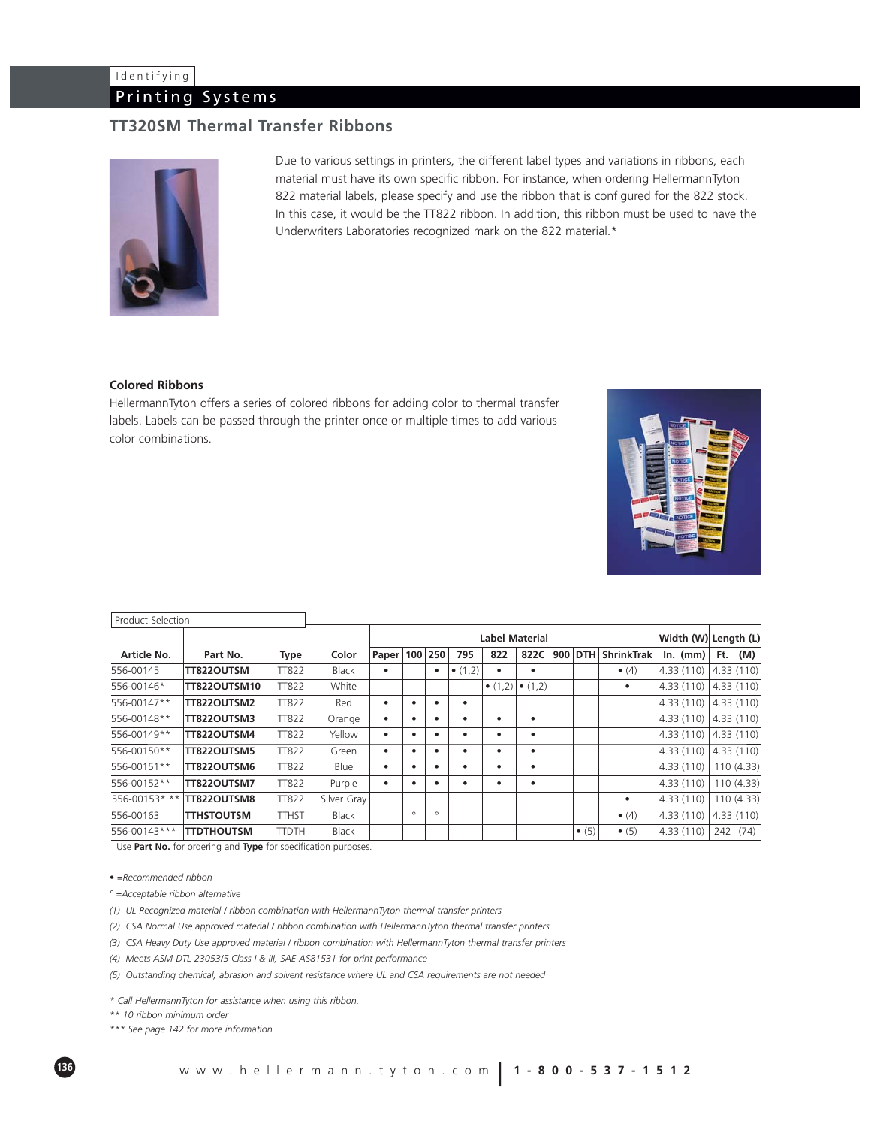# Identifying

## Printing Systems

## **TT320SM Thermal Transfer Ribbons**



Due to various settings in printers, the different label types and variations in ribbons, each material must have its own specific ribbon. For instance, when ordering HellermannTyton 822 material labels, please specify and use the ribbon that is configured for the 822 stock. In this case, it would be the TT822 ribbon. In addition, this ribbon must be used to have the Underwriters Laboratories recognized mark on the 822 material.\*

### **Colored Ribbons**

HellermannTyton offers a series of colored ribbons for adding color to thermal transfer labels. Labels can be passed through the printer once or multiple times to add various color combinations.



| <b>Product Selection</b> |                     |              |              |                       |         |           |                 |                 |                 |  |               |                      |            |            |
|--------------------------|---------------------|--------------|--------------|-----------------------|---------|-----------|-----------------|-----------------|-----------------|--|---------------|----------------------|------------|------------|
|                          |                     |              |              | <b>Label Material</b> |         |           |                 |                 |                 |  |               | Width (W) Length (L) |            |            |
| Article No.              | Part No.            | <b>Type</b>  | Color        | Paper   100   250     |         |           | 795             | 822             | 822C            |  | $900$ DTH     | <b>ShrinkTrak</b>    | $ln.$ (mm) | $Ft.$ (M)  |
| 556-00145                | TT822OUTSM          | <b>TT822</b> | <b>Black</b> | ٠                     |         | ٠         | $\bullet$ (1,2) | ٠               | ٠               |  |               | $\bullet$ (4)        | 4.33(110)  | 4.33 (110) |
| 556-00146*               | <b>TT822OUTSM10</b> | <b>TT822</b> | White        |                       |         |           |                 | $\bullet$ (1,2) | $\bullet$ (1,2) |  |               | ٠                    | 4.33(110)  | 4.33(110)  |
| 556-00147**              | TT822OUTSM2         | <b>TT822</b> | Red          | $\bullet$             |         | ٠         | ٠               |                 |                 |  |               |                      | 4.33(110)  | 4.33 (110) |
| 556-00148**              | TT822OUTSM3         | <b>TT822</b> | Orange       | $\bullet$             |         | ٠         | ٠               | ٠               | ٠               |  |               |                      | 4.33(110)  | 4.33 (110) |
| 556-00149**              | TT822OUTSM4         | <b>TT822</b> | Yellow       | ٠                     |         | $\bullet$ | ٠               | ٠               | ٠               |  |               |                      | 4.33(110)  | 4.33(110)  |
| 556-00150**              | TT822OUTSM5         | <b>TT822</b> | Green        | ٠                     |         | $\bullet$ | ٠               | ٠               | ٠               |  |               |                      | 4.33(110)  | 4.33 (110) |
| 556-00151**              | TT822OUTSM6         | <b>TT822</b> | Blue         | ٠                     |         | ٠         | ٠               | $\bullet$       | $\bullet$       |  |               |                      | 4.33(110)  | 110 (4.33) |
| 556-00152**              | TT822OUTSM7         | <b>TT822</b> | Purple       | ٠                     |         | ٠         | ٠               | $\bullet$       | ٠               |  |               |                      | 4.33(110)  | 110(4.33)  |
| 556-00153* **            | TT822OUTSM8         | <b>TT822</b> | Silver Gray  |                       |         |           |                 |                 |                 |  |               | ٠                    | 4.33(110)  | 110 (4.33) |
| 556-00163                | <b>TTHSTOUTSM</b>   | <b>TTHST</b> | <b>Black</b> |                       | $\circ$ | $\circ$   |                 |                 |                 |  |               | $\bullet$ (4)        | 4.33(110)  | 4.33 (110) |
| 556-00143***             | <b>TTDTHOUTSM</b>   | <b>TTDTH</b> | <b>Black</b> |                       |         |           |                 |                 |                 |  | $\bullet$ (5) | $\bullet$ (5)        | 4.33(110)  | 242 (74)   |

Use **Part No.** for ordering and **Type** for specification purposes.

*• =Recommended ribbon*

*° =Acceptable ribbon alternative*

*(1) UL Recognized material / ribbon combination with HellermannTyton thermal transfer printers*

*(2) CSA Normal Use approved material / ribbon combination with HellermannTyton thermal transfer printers*

*(3) CSA Heavy Duty Use approved material / ribbon combination with HellermannTyton thermal transfer printers*

*(4) Meets ASM-DTL-23053/5 Class I & III, SAE-AS81531 for print performance*

*(5) Outstanding chemical, abrasion and solvent resistance where UL and CSA requirements are not needed*

*\* Call HellermannTyton for assistance when using this ribbon.*

*\*\* 10 ribbon minimum order*

*\*\*\* See page 142 for more information*

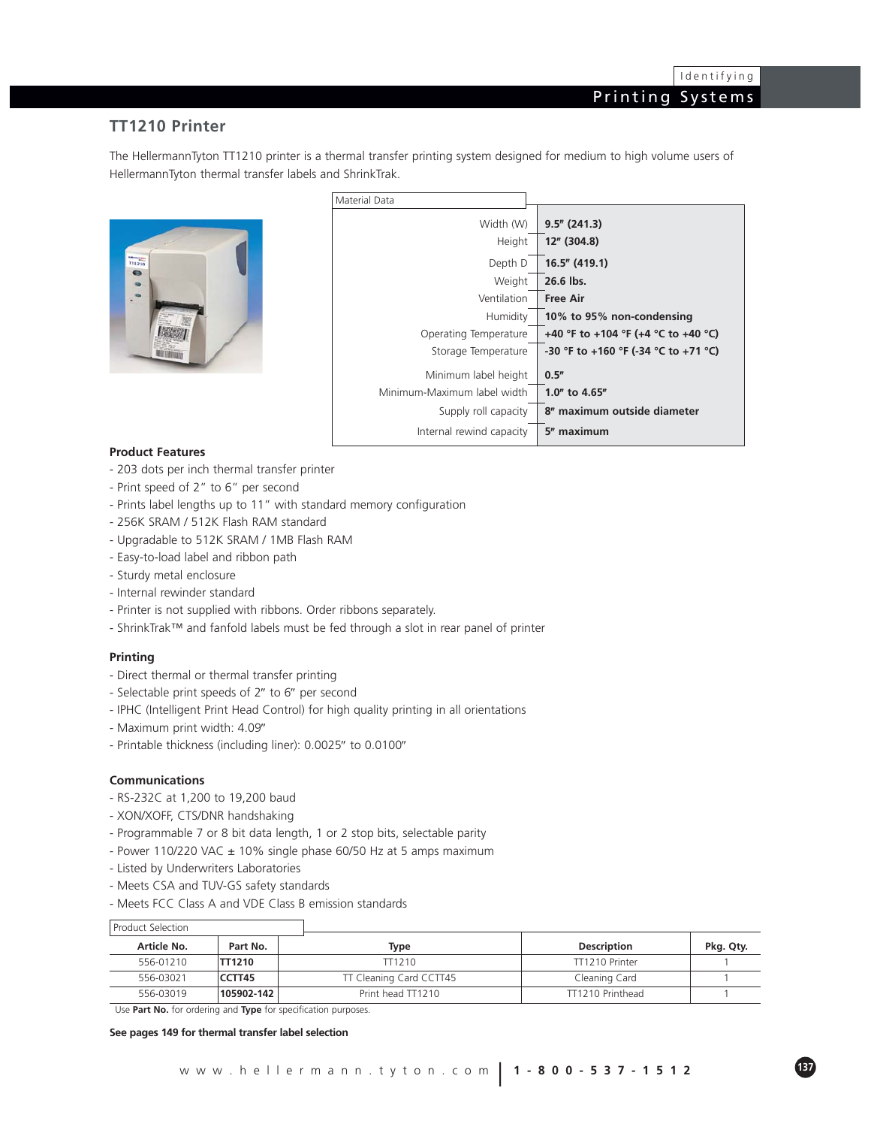### **TT1210 Printer**

The HellermannTyton TT1210 printer is a thermal transfer printing system designed for medium to high volume users of HellermannTyton thermal transfer labels and ShrinkTrak.



| Material Data               |                                      |
|-----------------------------|--------------------------------------|
|                             |                                      |
| Width (W)                   | $9.5''$ (241.3)                      |
| Height                      | 12" (304.8)                          |
| Depth D                     | 16.5" (419.1)                        |
| Weight                      | 26.6 lbs.                            |
| Ventilation                 | Free Air                             |
| Humidity                    | 10% to 95% non-condensing            |
| Operating Temperature       | +40 °F to +104 °F (+4 °C to +40 °C)  |
| Storage Temperature         | -30 °F to +160 °F (-34 °C to +71 °C) |
| Minimum label height        | 0.5''                                |
| Minimum-Maximum label width | 1.0" to 4.65"                        |
| Supply roll capacity        | 8" maximum outside diameter          |
| Internal rewind capacity    | 5" maximum                           |

### **Product Features**

- 203 dots per inch thermal transfer printer
- Print speed of 2" to 6" per second
- Prints label lengths up to 11" with standard memory configuration
- 256K SRAM / 512K Flash RAM standard
- Upgradable to 512K SRAM / 1MB Flash RAM
- Easy-to-load label and ribbon path
- Sturdy metal enclosure
- Internal rewinder standard
- Printer is not supplied with ribbons. Order ribbons separately.
- ShrinkTrak™ and fanfold labels must be fed through a slot in rear panel of printer

### **Printing**

- Direct thermal or thermal transfer printing
- Selectable print speeds of 2″ to 6″ per second
- IPHC (Intelligent Print Head Control) for high quality printing in all orientations
- Maximum print width: 4.09″
- Printable thickness (including liner): 0.0025″ to 0.0100″

#### **Communications**

- RS-232C at 1,200 to 19,200 baud
- XON/XOFF, CTS/DNR handshaking
- Programmable 7 or 8 bit data length, 1 or 2 stop bits, selectable parity
- Power 110/220 VAC ± 10% single phase 60/50 Hz at 5 amps maximum
- Listed by Underwriters Laboratories
- Meets CSA and TUV-GS safety standards
- Meets FCC Class A and VDE Class B emission standards

| <b>Product Selection</b> |            |                         |                    |           |
|--------------------------|------------|-------------------------|--------------------|-----------|
| Article No.              | Part No.   | Type                    | <b>Description</b> | Pkg. Qty. |
| 556-01210                | TT1210     | TT1210                  | TT1210 Printer     |           |
| 556-03021                | CCTT45     | TT Cleaning Card CCTT45 | Cleaning Card      |           |
| 556-03019                | 105902-142 | Print head TT1210       | TT1210 Printhead   |           |

Use **Part No.** for ordering and **Type** for specification purposes.

#### **See pages 149 for thermal transfer label selection**